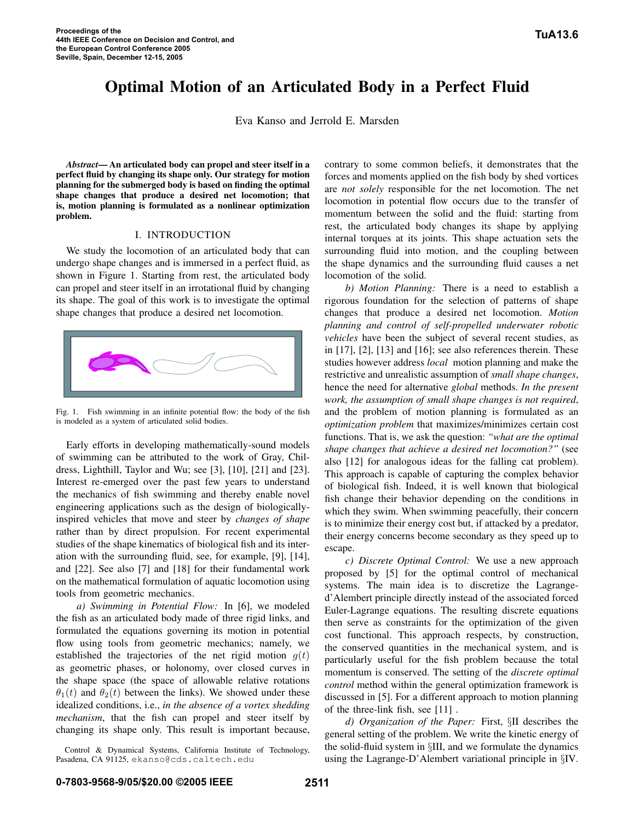# Optimal Motion of an Articulated Body in a Perfect Fluid

Eva Kanso and Jerrold E. Marsden

*Abstract*— An articulated body can propel and steer itself in a perfect fluid by changing its shape only. Our strategy for motion planning for the submerged body is based on finding the optimal shape changes that produce a desired net locomotion; that is, motion planning is formulated as a nonlinear optimization problem.

# I. INTRODUCTION

We study the locomotion of an articulated body that can undergo shape changes and is immersed in a perfect fluid, as shown in Figure 1. Starting from rest, the articulated body can propel and steer itself in an irrotational fluid by changing its shape. The goal of this work is to investigate the optimal shape changes that produce a desired net locomotion.



Fig. 1. Fish swimming in an infinite potential flow: the body of the fish is modeled as a system of articulated solid bodies.

Early efforts in developing mathematically-sound models of swimming can be attributed to the work of Gray, Childress, Lighthill, Taylor and Wu; see [3], [10], [21] and [23]. Interest re-emerged over the past few years to understand the mechanics of fish swimming and thereby enable novel engineering applications such as the design of biologicallyinspired vehicles that move and steer by *changes of shape* rather than by direct propulsion. For recent experimental studies of the shape kinematics of biological fish and its interation with the surrounding fluid, see, for example, [9], [14], and [22]. See also [7] and [18] for their fundamental work on the mathematical formulation of aquatic locomotion using tools from geometric mechanics.

*a) Swimming in Potential Flow:* In [6], we modeled the fish as an articulated body made of three rigid links, and formulated the equations governing its motion in potential flow using tools from geometric mechanics; namely, we established the trajectories of the net rigid motion  $g(t)$ as geometric phases, or holonomy, over closed curves in the shape space (the space of allowable relative rotations  $\theta_1(t)$  and  $\theta_2(t)$  between the links). We showed under these idealized conditions, i.e., *in the absence of a vortex shedding mechanism*, that the fish can propel and steer itself by changing its shape only. This result is important because,

Control & Dynamical Systems, California Institute of Technology, Pasadena, CA 91125, ekanso@cds.caltech.edu

contrary to some common beliefs, it demonstrates that the forces and moments applied on the fish body by shed vortices are *not solely* responsible for the net locomotion. The net locomotion in potential flow occurs due to the transfer of momentum between the solid and the fluid: starting from rest, the articulated body changes its shape by applying internal torques at its joints. This shape actuation sets the surrounding fluid into motion, and the coupling between the shape dynamics and the surrounding fluid causes a net locomotion of the solid.

*b) Motion Planning:* There is a need to establish a rigorous foundation for the selection of patterns of shape changes that produce a desired net locomotion. *Motion planning and control of self-propelled underwater robotic vehicles* have been the subject of several recent studies, as in [17], [2], [13] and [16]; see also references therein. These studies however address *local* motion planning and make the restrictive and unrealistic assumption of *small shape changes*, hence the need for alternative *global* methods. *In the present work, the assumption of small shape changes is not required*, and the problem of motion planning is formulated as an *optimization problem* that maximizes/minimizes certain cost functions. That is, we ask the question: *"what are the optimal shape changes that achieve a desired net locomotion?"* (see also [12] for analogous ideas for the falling cat problem). This approach is capable of capturing the complex behavior of biological fish. Indeed, it is well known that biological fish change their behavior depending on the conditions in which they swim. When swimming peacefully, their concern is to minimize their energy cost but, if attacked by a predator, their energy concerns become secondary as they speed up to escape.

*c) Discrete Optimal Control:* We use a new approach proposed by [5] for the optimal control of mechanical systems. The main idea is to discretize the Lagranged'Alembert principle directly instead of the associated forced Euler-Lagrange equations. The resulting discrete equations then serve as constraints for the optimization of the given cost functional. This approach respects, by construction, the conserved quantities in the mechanical system, and is particularly useful for the fish problem because the total momentum is conserved. The setting of the *discrete optimal control* method within the general optimization framework is discussed in [5]. For a different approach to motion planning of the three-link fish, see [11] .

*d) Organization of the Paper:* First, §II describes the general setting of the problem. We write the kinetic energy of the solid-fluid system in §III, and we formulate the dynamics using the Lagrange-D'Alembert variational principle in §IV.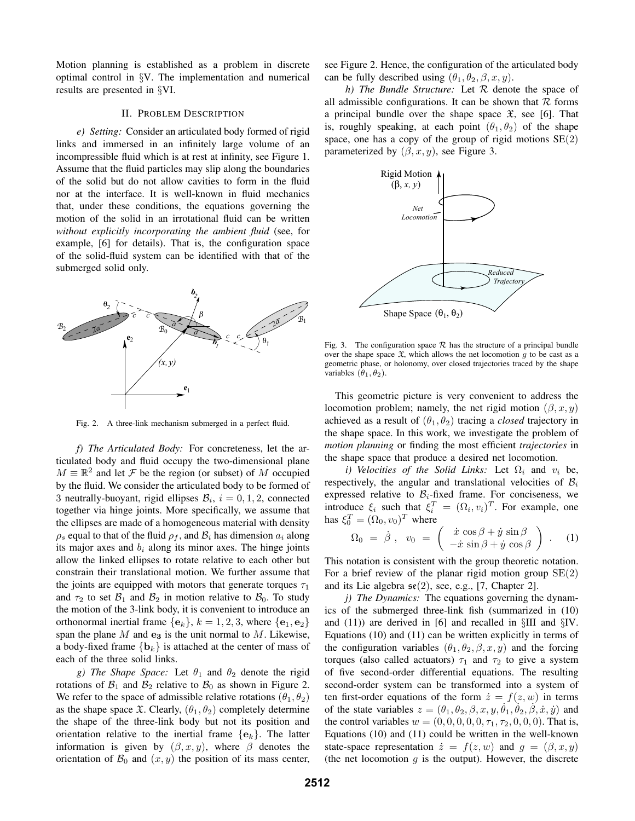Motion planning is established as a problem in discrete optimal control in §V. The implementation and numerical results are presented in §VI.

## II. PROBLEM DESCRIPTION

*e) Setting:* Consider an articulated body formed of rigid links and immersed in an infinitely large volume of an incompressible fluid which is at rest at infinity, see Figure 1. Assume that the fluid particles may slip along the boundaries of the solid but do not allow cavities to form in the fluid nor at the interface. It is well-known in fluid mechanics that, under these conditions, the equations governing the motion of the solid in an irrotational fluid can be written *without explicitly incorporating the ambient fluid* (see, for example, [6] for details). That is, the configuration space of the solid-fluid system can be identified with that of the submerged solid only.



Fig. 2. A three-link mechanism submerged in a perfect fluid.

*f) The Articulated Body:* For concreteness, let the articulated body and fluid occupy the two-dimensional plane  $M \equiv \mathbb{R}^2$  and let F be the region (or subset) of M occupied by the fluid. We consider the articulated body to be formed of 3 neutrally-buoyant, rigid ellipses  $\mathcal{B}_i$ ,  $i = 0, 1, 2$ , connected together via hinge joints. More specifically, we assume that the ellipses are made of a homogeneous material with density  $\rho_s$  equal to that of the fluid  $\rho_f$ , and  $\mathcal{B}_i$  has dimension  $a_i$  along its major axes and  $b_i$  along its minor axes. The hinge joints allow the linked ellipses to rotate relative to each other but constrain their translational motion. We further assume that the joints are equipped with motors that generate torques  $\tau_1$ and  $\tau_2$  to set  $\mathcal{B}_1$  and  $\mathcal{B}_2$  in motion relative to  $\mathcal{B}_0$ . To study the motion of the 3-link body, it is convenient to introduce an orthonormal inertial frame  $\{e_k\}$ ,  $k = 1, 2, 3$ , where  $\{e_1, e_2\}$ span the plane M and **e<sup>3</sup>** is the unit normal to M. Likewise, a body-fixed frame  ${b_k}$  is attached at the center of mass of each of the three solid links.

*g)* The Shape Space: Let  $\theta_1$  and  $\theta_2$  denote the rigid rotations of  $\mathcal{B}_1$  and  $\mathcal{B}_2$  relative to  $\mathcal{B}_0$  as shown in Figure 2. We refer to the space of admissible relative rotations  $(\theta_1, \theta_2)$ as the shape space  $\mathfrak{X}$ . Clearly,  $(\theta_1, \theta_2)$  completely determine the shape of the three-link body but not its position and orientation relative to the inertial frame  ${e_k}$ . The latter information is given by  $(\beta, x, y)$ , where  $\beta$  denotes the orientation of  $\mathcal{B}_0$  and  $(x, y)$  the position of its mass center, see Figure 2. Hence, the configuration of the articulated body can be fully described using  $(\theta_1, \theta_2, \beta, x, y)$ .

*h) The Bundle Structure:* Let R denote the space of all admissible configurations. It can be shown that  $R$  forms a principal bundle over the shape space  $\mathfrak{X}$ , see [6]. That is, roughly speaking, at each point  $(\theta_1, \theta_2)$  of the shape space, one has a copy of the group of rigid motions  $SE(2)$ parameterized by  $(\beta, x, y)$ , see Figure 3.



Fig. 3. The configuration space  $\mathcal R$  has the structure of a principal bundle over the shape space  $\mathfrak{X}$ , which allows the net locomotion g to be cast as a geometric phase, or holonomy, over closed trajectories traced by the shape variables  $(\theta_1, \theta_2)$ .

This geometric picture is very convenient to address the locomotion problem; namely, the net rigid motion  $(\beta, x, y)$ achieved as a result of  $(\theta_1, \theta_2)$  tracing a *closed* trajectory in the shape space. In this work, we investigate the problem of *motion planning* or finding the most efficient *trajectories* in the shape space that produce a desired net locomotion.

*i) Velocities of the Solid Links:* Let  $\Omega_i$  and  $v_i$  be, respectively, the angular and translational velocities of  $B_i$ expressed relative to  $B_i$ -fixed frame. For conciseness, we introduce  $\xi_i$  such that  $\xi_i^T = (\Omega_i, v_i)^T$ . For example, one has  $\xi_0^T = (\Omega_0, v_0)^T$  where

$$
\Omega_0 = \dot{\beta}, \quad v_0 = \begin{pmatrix} \dot{x} \cos \beta + \dot{y} \sin \beta \\ -\dot{x} \sin \beta + \dot{y} \cos \beta \end{pmatrix} . \quad (1)
$$

This notation is consistent with the group theoretic notation. For a brief review of the planar rigid motion group  $SE(2)$ and its Lie algebra  $\mathfrak{se}(2)$ , see, e.g., [7, Chapter 2].

*j) The Dynamics:* The equations governing the dynamics of the submerged three-link fish (summarized in (10) and  $(11)$  are derived in [6] and recalled in  $\S$ III and  $\S$ IV. Equations (10) and (11) can be written explicitly in terms of the configuration variables  $(\theta_1, \theta_2, \beta, x, y)$  and the forcing torques (also called actuators)  $\tau_1$  and  $\tau_2$  to give a system of five second-order differential equations. The resulting second-order system can be transformed into a system of ten first-order equations of the form  $\dot{z} = f(z, w)$  in terms of the state variables  $z = (\theta_1, \theta_2, \beta, x, y, \dot{\theta}_1, \dot{\theta}_2, \dot{\beta}, \dot{x}, \dot{y})$  and the control variables  $w = (0, 0, 0, 0, 0, \tau_1, \tau_2, 0, 0, 0)$ . That is, Equations (10) and (11) could be written in the well-known state-space representation  $\dot{z} = f(z, w)$  and  $g = (\beta, x, y)$ (the net locomotion  $q$  is the output). However, the discrete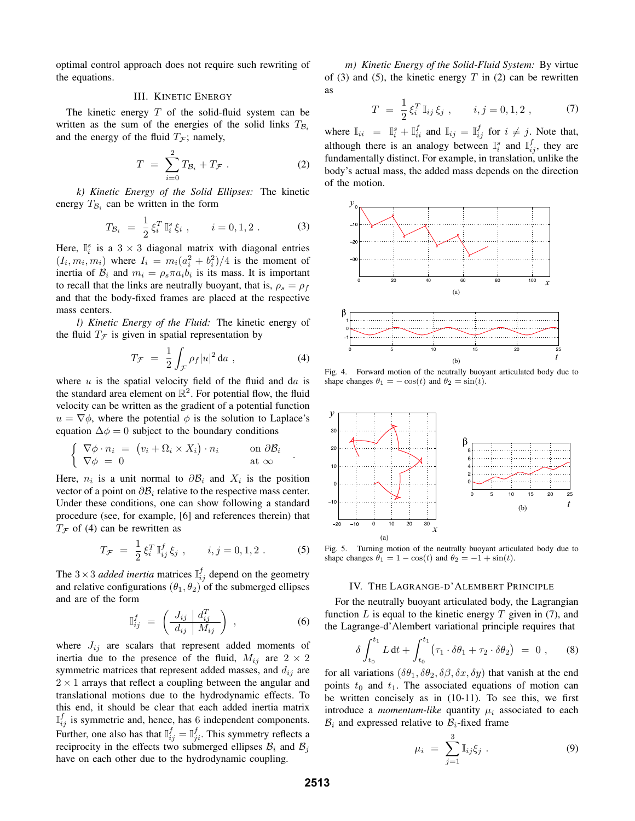optimal control approach does not require such rewriting of the equations.

# III. KINETIC ENERGY

The kinetic energy  $T$  of the solid-fluid system can be written as the sum of the energies of the solid links  $T_{\mathcal{B}_i}$ and the energy of the fluid  $T<sub>F</sub>$ ; namely,

$$
T = \sum_{i=0}^{2} T_{\mathcal{B}_i} + T_{\mathcal{F}} . \tag{2}
$$

*k) Kinetic Energy of the Solid Ellipses:* The kinetic energy  $T_{\mathcal{B}_i}$  can be written in the form

$$
T_{\mathcal{B}_i} = \frac{1}{2} \xi_i^T \mathbb{I}_i^s \xi_i , \qquad i = 0, 1, 2 . \tag{3}
$$

Here,  $\mathbb{I}_{i}^{s}$  is a  $3 \times 3$  diagonal matrix with diagonal entries  $(I_i, m_i, m_i)$  where  $I_i = m_i(a_i^2 + b_i^2)/4$  is the moment of inertia of  $B_i$  and  $m_i = \rho_s \pi a_i b_i$  is its mass. It is important to recall that the links are neutrally buoyant, that is,  $\rho_s = \rho_f$ and that the body-fixed frames are placed at the respective mass centers.

*l) Kinetic Energy of the Fluid:* The kinetic energy of the fluid  $T_{\mathcal{F}}$  is given in spatial representation by

$$
T_{\mathcal{F}} = \frac{1}{2} \int_{\mathcal{F}} \rho_f |u|^2 \, \mathrm{d}a \;, \tag{4}
$$

where  $u$  is the spatial velocity field of the fluid and da is the standard area element on  $\mathbb{R}^2$ . For potential flow, the fluid velocity can be written as the gradient of a potential function  $u = \nabla \phi$ , where the potential  $\phi$  is the solution to Laplace's equation  $\Delta \phi = 0$  subject to the boundary conditions

$$
\begin{cases} \nabla \phi \cdot n_i = (v_i + \Omega_i \times X_i) \cdot n_i & \text{on } \partial \mathcal{B}_i \\ \nabla \phi = 0 & \text{at } \infty \end{cases}.
$$

Here,  $n_i$  is a unit normal to  $\partial \mathcal{B}_i$  and  $X_i$  is the position vector of a point on  $\partial \mathcal{B}_i$  relative to the respective mass center. Under these conditions, one can show following a standard procedure (see, for example, [6] and references therein) that  $T_f$  of (4) can be rewritten as

$$
T_{\mathcal{F}} = \frac{1}{2} \xi_i^T \mathbb{I}_{ij}^f \xi_j , \qquad i, j = 0, 1, 2 . \tag{5}
$$

The  $3 \times 3$  *added inertia* matrices  $\mathbb{I}_{ij}^f$  depend on the geometry and relative configurations  $(\theta_1, \theta_2)$  of the submerged ellipses and are of the form

$$
\mathbb{I}_{ij}^f = \left(\frac{J_{ij} \mid d_{ij}^T}{d_{ij} \mid M_{ij}}\right) , \qquad (6)
$$

where  $J_{ij}$  are scalars that represent added moments of inertia due to the presence of the fluid,  $M_{ij}$  are  $2 \times 2$ symmetric matrices that represent added masses, and  $d_{ij}$  are  $2 \times 1$  arrays that reflect a coupling between the angular and translational motions due to the hydrodynamic effects. To this end, it should be clear that each added inertia matrix  $\mathbb{I}_{i,j}^f$  is symmetric and, hence, has 6 independent components. Further, one also has that  $\mathbb{I}_{ij}^f = \mathbb{I}_{ji}^f$ . This symmetry reflects a reciprocity in the effects two submerged ellipses  $B_i$  and  $B_j$ have on each other due to the hydrodynamic coupling.

*m) Kinetic Energy of the Solid-Fluid System:* By virtue of (3) and (5), the kinetic energy  $T$  in (2) can be rewritten as

$$
T = \frac{1}{2} \xi_i^T \mathbb{I}_{ij} \xi_j , \qquad i, j = 0, 1, 2 , \qquad (7)
$$

where  $\mathbb{I}_{ii} = \mathbb{I}_{i}^{s} + \mathbb{I}_{ii}^{f}$  and  $\mathbb{I}_{ij} = \mathbb{I}_{ij}^{f}$  for  $i \neq j$ . Note that, although there is an analogy between  $\mathbb{I}_i^s$  and  $\mathbb{I}_{i,j}^f$ , they are fundamentally distinct. For example, in translation, unlike the body's actual mass, the added mass depends on the direction of the motion.



Fig. 4. Forward motion of the neutrally buoyant articulated body due to shape changes  $\theta_1 = -\cos(t)$  and  $\theta_2 = \sin(t)$ .



Fig. 5. Turning motion of the neutrally buoyant articulated body due to shape changes  $\theta_1 = 1 - \cos(t)$  and  $\theta_2 = -1 + \sin(t)$ .

#### IV. THE LAGRANGE-D'ALEMBERT PRINCIPLE

For the neutrally buoyant articulated body, the Lagrangian function  $L$  is equal to the kinetic energy  $T$  given in (7), and the Lagrange-d'Alembert variational principle requires that

$$
\delta \int_{t_0}^{t_1} L \, dt + \int_{t_0}^{t_1} \left( \tau_1 \cdot \delta \theta_1 + \tau_2 \cdot \delta \theta_2 \right) = 0 , \quad (8)
$$

for all variations ( $\delta\theta_1$ ,  $\delta\theta_2$ ,  $\delta\beta$ ,  $\delta x$ ,  $\delta y$ ) that vanish at the end points  $t_0$  and  $t_1$ . The associated equations of motion can be written concisely as in (10-11). To see this, we first introduce a *momentum-like* quantity  $\mu_i$  associated to each  $B_i$  and expressed relative to  $B_i$ -fixed frame

$$
\mu_i = \sum_{j=1}^3 \mathbb{I}_{ij} \xi_j . \tag{9}
$$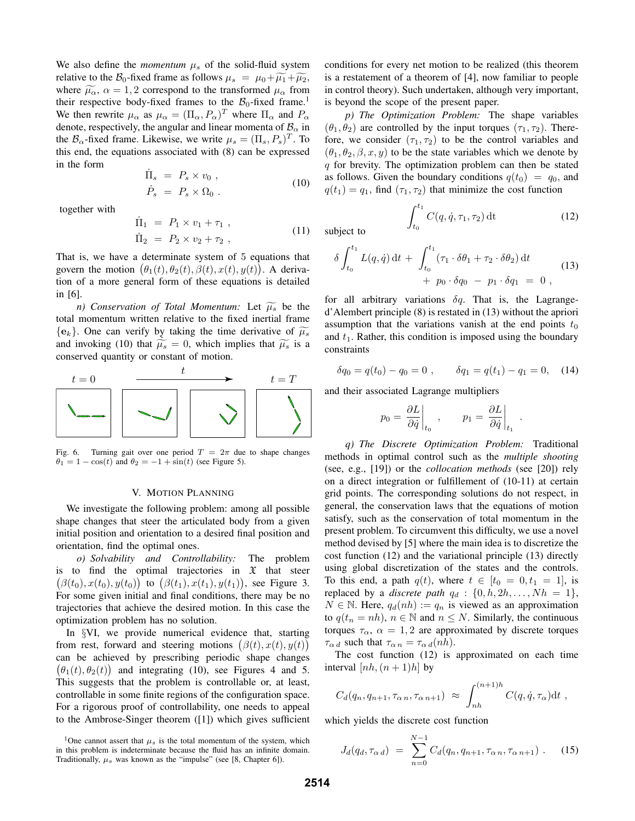We also define the *momentum*  $\mu_s$  of the solid-fluid system relative to the  $\mathcal{B}_0$ -fixed frame as follows  $\mu_s = \mu_0 + \widetilde{\mu_1} + \widetilde{\mu_2}$ , where  $\widetilde{\mu_{\alpha}}$ ,  $\alpha = 1, 2$  correspond to the transformed  $\mu_{\alpha}$  from their respective body-fixed frames to the  $B_0$ -fixed frame.<sup>1</sup> We then rewrite  $\mu_{\alpha}$  as  $\mu_{\alpha} = (\Pi_{\alpha}, P_{\alpha})^T$  where  $\Pi_{\alpha}$  and  $P_{\alpha}$ denote, respectively, the angular and linear momenta of  $B_{\alpha}$  in the  $\mathcal{B}_{\alpha}$ -fixed frame. Likewise, we write  $\mu_s = (\Pi_s, P_s)^T$ . To this end, the equations associated with (8) can be expressed in the form

$$
\dot{\Pi}_s = P_s \times v_0 ,
$$
\n
$$
\dot{P}_s = P_s \times \Omega_0 .
$$
\n(10)

together with

$$
\dot{\Pi}_1 = P_1 \times v_1 + \tau_1 ,\n\dot{\Pi}_2 = P_2 \times v_2 + \tau_2 ,
$$
\n(11)

That is, we have a determinate system of 5 equations that govern the motion  $(\theta_1(t), \theta_2(t), \beta(t), x(t), y(t))$ . A derivation of a more general form of these equations is detailed in [6].

*n)* Conservation of Total Momentum: Let  $\widetilde{\mu_s}$  be the total momentum written relative to the fixed inertial frame  ${e_k}$ . One can verify by taking the time derivative of  $\widetilde{\mu_s}$ and invoking (10) that  $\widetilde{\mu_s} = 0$ , which implies that  $\widetilde{\mu_s}$  is a conserved quantity or constant of motion.



Fig. 6. Turning gait over one period  $T = 2\pi$  due to shape changes  $\theta_1 = 1 - \cos(t)$  and  $\theta_2 = -1 + \sin(t)$  (see Figure 5).

# V. MOTION PLANNING

We investigate the following problem: among all possible shape changes that steer the articulated body from a given initial position and orientation to a desired final position and orientation, find the optimal ones.

*o) Solvability and Controllability:* The problem is to find the optimal trajectories in  $\mathfrak X$  that steer  $(\beta(t_0), x(t_0), y(t_0))$  to  $(\beta(t_1), x(t_1), y(t_1))$ , see Figure 3. For some given initial and final conditions, there may be no trajectories that achieve the desired motion. In this case the optimization problem has no solution.

In §VI, we provide numerical evidence that, starting from rest, forward and steering motions  $(\beta(t), x(t), y(t))$ can be achieved by prescribing periodic shape changes  $(\theta_1(t), \theta_2(t))$  and integrating (10), see Figures 4 and 5. This suggests that the problem is controllable or, at least, controllable in some finite regions of the configuration space. For a rigorous proof of controllability, one needs to appeal to the Ambrose-Singer theorem ([1]) which gives sufficient

<sup>1</sup>One cannot assert that  $\mu_s$  is the total momentum of the system, which in this problem is indeterminate because the fluid has an infinite domain. Traditionally,  $\mu_s$  was known as the "impulse" (see [8, Chapter 6]).

conditions for every net motion to be realized (this theorem is a restatement of a theorem of [4], now familiar to people in control theory). Such undertaken, although very important, is beyond the scope of the present paper.

*p) The Optimization Problem:* The shape variables  $(\theta_1, \theta_2)$  are controlled by the input torques  $(\tau_1, \tau_2)$ . Therefore, we consider  $(\tau_1, \tau_2)$  to be the control variables and  $(\theta_1, \theta_2, \beta, x, y)$  to be the state variables which we denote by  $q$  for brevity. The optimization problem can then be stated as follows. Given the boundary conditions  $q(t_0) = q_0$ , and  $q(t_1) = q_1$ , find  $(\tau_1, \tau_2)$  that minimize the cost function

subject to

$$
\delta \int_{t_0}^{t_1} L(q, \dot{q}) dt + \int_{t_0}^{t_1} (\tau_1 \cdot \delta \theta_1 + \tau_2 \cdot \delta \theta_2) dt + p_0 \cdot \delta q_0 - p_1 \cdot \delta q_1 = 0,
$$
\n(13)

 $\int_{t_0} C(q, \dot{q}, \tau_1, \tau_2) dt$  (12)

for all arbitrary variations  $\delta q$ . That is, the Lagranged'Alembert principle (8) is restated in (13) without the apriori assumption that the variations vanish at the end points  $t_0$ and  $t_1$ . Rather, this condition is imposed using the boundary constraints

$$
\delta q_0 = q(t_0) - q_0 = 0 , \qquad \delta q_1 = q(t_1) - q_1 = 0, \quad (14)
$$

and their associated Lagrange multipliers

 $\int_0^{t_1}$ 

$$
p_0 = \left. \frac{\partial L}{\partial \dot{q}} \right|_{t_0} , \qquad p_1 = \left. \frac{\partial L}{\partial \dot{q}} \right|_{t_1} .
$$

*q) The Discrete Optimization Problem:* Traditional methods in optimal control such as the *multiple shooting* (see, e.g., [19]) or the *collocation methods* (see [20]) rely on a direct integration or fulfillement of (10-11) at certain grid points. The corresponding solutions do not respect, in general, the conservation laws that the equations of motion satisfy, such as the conservation of total momentum in the present problem. To circumvent this difficulty, we use a novel method devised by [5] where the main idea is to discretize the cost function (12) and the variational principle (13) directly using global discretization of the states and the controls. To this end, a path  $q(t)$ , where  $t \in [t_0 = 0, t_1 = 1]$ , is replaced by a *discrete path*  $q_d$  :  $\{0, h, 2h, \ldots, Nh = 1\}$ ,  $N \in \mathbb{N}$ . Here,  $q_d(nh) := q_n$  is viewed as an approximation to  $q(t_n = nh)$ ,  $n \in \mathbb{N}$  and  $n \leq N$ . Similarly, the continuous torques  $\tau_{\alpha}$ ,  $\alpha = 1, 2$  are approximated by discrete torques  $\tau_{\alpha d}$  such that  $\tau_{\alpha n} = \tau_{\alpha d}(nh)$ .

The cost function (12) is approximated on each time interval [nh,  $(n+1)h$ ] by

$$
C_d(q_n, q_{n+1}, \tau_{\alpha n}, \tau_{\alpha n+1}) \approx \int_{nh}^{(n+1)h} C(q, \dot{q}, \tau_{\alpha}) dt ,
$$

which yields the discrete cost function

$$
J_d(q_d, \tau_{\alpha d}) = \sum_{n=0}^{N-1} C_d(q_n, q_{n+1}, \tau_{\alpha n}, \tau_{\alpha n+1}). \tag{15}
$$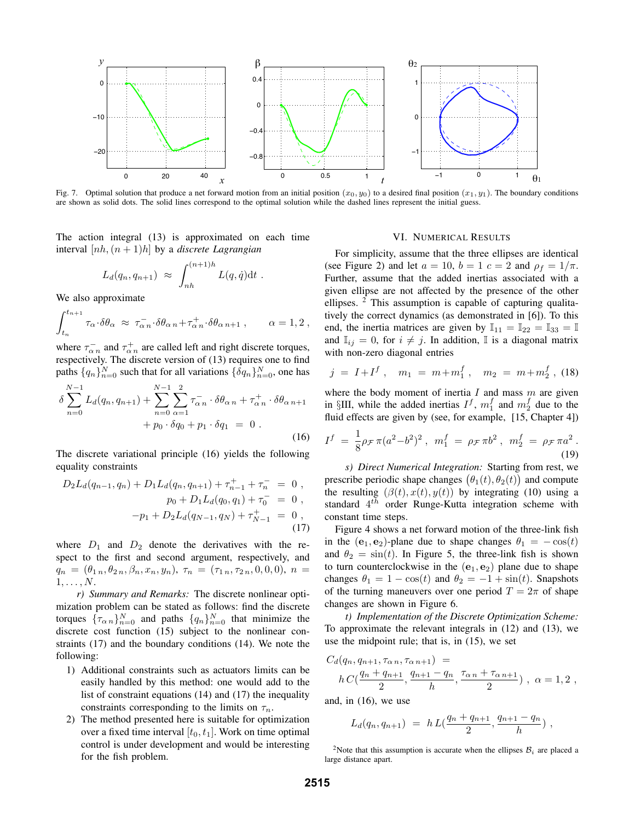

Fig. 7. Optimal solution that produce a net forward motion from an initial position  $(x_0, y_0)$  to a desired final position  $(x_1, y_1)$ . The boundary conditions are shown as solid dots. The solid lines correspond to the optimal solution while the dashed lines represent the initial guess.

The action integral (13) is approximated on each time interval [nh,(n + 1)h] by a *discrete Lagrangian*

$$
L_d(q_n, q_{n+1}) \approx \int_{nh}^{(n+1)h} L(q, \dot{q}) dt .
$$

We also approximate

$$
\int_{t_n}^{t_{n+1}} \tau_\alpha \cdot \delta\theta_\alpha \ \approx \ \tau_{\alpha\,n}^{\,-} \cdot \delta\theta_{\alpha\,n} + \tau_{\alpha\,n}^{\,+} \cdot \delta\theta_{\alpha\,n+1} \ , \qquad \alpha = 1,2 \ ,
$$

where  $\tau_{\alpha}^-$  and  $\tau_{\alpha}^+$  are called left and right discrete torques, respectively. The discrete version of (13) requires one to find paths  $\{q_n\}_{n=0}^N$  such that for all variations  $\{\delta q_n\}_{n=0}^N$ , one has

$$
\delta \sum_{n=0}^{N-1} L_d(q_n, q_{n+1}) + \sum_{n=0}^{N-1} \sum_{\alpha=1}^2 \tau_{\alpha n}^- \cdot \delta \theta_{\alpha n} + \tau_{\alpha n}^+ \cdot \delta \theta_{\alpha n+1} + p_0 \cdot \delta q_0 + p_1 \cdot \delta q_1 = 0.
$$
\n(16)

The discrete variational principle (16) yields the following equality constraints

$$
D_2L_d(q_{n-1}, q_n) + D_1L_d(q_n, q_{n+1}) + \tau_{n-1}^+ + \tau_n^- = 0,
$$
  
\n
$$
p_0 + D_1L_d(q_0, q_1) + \tau_0^- = 0,
$$
  
\n
$$
-p_1 + D_2L_d(q_{N-1}, q_N) + \tau_{N-1}^+ = 0,
$$
  
\n(17)

where  $D_1$  and  $D_2$  denote the derivatives with the respect to the first and second argument, respectively, and  $q_n = (\theta_{1n}, \theta_{2n}, \beta_n, x_n, y_n), \tau_n = (\tau_{1n}, \tau_{2n}, 0, 0, 0), n =$  $1,\ldots,N$ .

*r) Summary and Remarks:* The discrete nonlinear optimization problem can be stated as follows: find the discrete torques  ${\{\tau_{\alpha n}\}}_{n=0}^{N}$  and paths  ${q_n\}}_{n=0}^{N}$  that minimize the discrete cost function (15) subject to the nonlinear constraints (17) and the boundary conditions (14). We note the following:

- 1) Additional constraints such as actuators limits can be easily handled by this method: one would add to the list of constraint equations (14) and (17) the inequality constraints corresponding to the limits on  $\tau_n$ .
- 2) The method presented here is suitable for optimization over a fixed time interval  $[t_0, t_1]$ . Work on time optimal control is under development and would be interesting for the fish problem.

#### VI. NUMERICAL RESULTS

For simplicity, assume that the three ellipses are identical (see Figure 2) and let  $a = 10$ ,  $b = 1$   $c = 2$  and  $\rho_f = 1/\pi$ . Further, assume that the added inertias associated with a given ellipse are not affected by the presence of the other ellipses. <sup>2</sup> This assumption is capable of capturing qualitatively the correct dynamics (as demonstrated in [6]). To this end, the inertia matrices are given by  $\mathbb{I}_{11} = \mathbb{I}_{22} = \mathbb{I}_{33} = \mathbb{I}$ and  $\mathbb{I}_{ij} = 0$ , for  $i \neq j$ . In addition,  $\mathbb{I}$  is a diagonal matrix with non-zero diagonal entries

$$
j = I + If, \quad m_1 = m + m_1f, \quad m_2 = m + m_2f, \quad (18)
$$

where the body moment of inertia  $I$  and mass  $m$  are given in §III, while the added inertias  $I^f$ ,  $m_1^f$  and  $m_2^f$  due to the fluid effects are given by (see, for example, [15, Chapter 4])

$$
I^{f} = \frac{1}{8}\rho_{\mathcal{F}}\pi(a^{2}-b^{2})^{2}, \quad m_{1}^{f} = \rho_{\mathcal{F}}\pi b^{2}, \quad m_{2}^{f} = \rho_{\mathcal{F}}\pi a^{2}.
$$
\n(19)

*s) Direct Numerical Integration:* Starting from rest, we prescribe periodic shape changes  $(\theta_1(t), \theta_2(t))$  and compute the resulting  $(\beta(t), x(t), y(t))$  by integrating (10) using a standard  $4^{th}$  order Runge-Kutta integration scheme with constant time steps.

Figure 4 shows a net forward motion of the three-link fish in the  $(e_1, e_2)$ -plane due to shape changes  $\theta_1 = -\cos(t)$ and  $\theta_2 = \sin(t)$ . In Figure 5, the three-link fish is shown to turn counterclockwise in the  $(e_1, e_2)$  plane due to shape changes  $\theta_1 = 1 - \cos(t)$  and  $\theta_2 = -1 + \sin(t)$ . Snapshots of the turning maneuvers over one period  $T = 2\pi$  of shape changes are shown in Figure 6.

*t) Implementation of the Discrete Optimization Scheme:* To approximate the relevant integrals in (12) and (13), we use the midpoint rule; that is, in (15), we set

$$
C_d(q_n, q_{n+1}, \tau_{\alpha n}, \tau_{\alpha n+1}) =
$$
  
 
$$
h C(\frac{q_n + q_{n+1}}{2}, \frac{q_{n+1} - q_n}{h}, \frac{\tau_{\alpha n} + \tau_{\alpha n+1}}{2}), \ \alpha = 1, 2,
$$

and, in (16), we use

$$
L_d(q_n, q_{n+1}) = h L(\frac{q_n + q_{n+1}}{2}, \frac{q_{n+1} - q_n}{h}),
$$

<sup>2</sup>Note that this assumption is accurate when the ellipses  $B_i$  are placed a large distance apart.